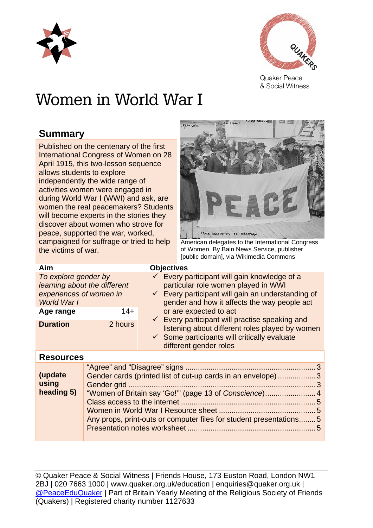



Quaker Peace & Social Witness

# Women in World War I

## **Summary**

Published on the centenary of the first International Congress of Women on 28 April 1915, this two-lesson sequence allows students to explore independently the wide range of activities women were engaged in during World War I (WWI) and ask, are women the real peacemakers? Students will become experts in the stories they discover about women who strove for peace, supported the war, worked, campaigned for suffrage or tried to help the victims of war.



American delegates to the International Congress of Women. By Bain News Service, publisher [public domain], via Wikimedia Commons

| Aim                                                                                                         |         | <b>Objectives</b>                                                                                                                                                                                                             |
|-------------------------------------------------------------------------------------------------------------|---------|-------------------------------------------------------------------------------------------------------------------------------------------------------------------------------------------------------------------------------|
| To explore gender by<br>learning about the different<br>experiences of women in<br>World War I<br>Age range | $14+$   | ← Every participant will gain knowledge of a<br>particular role women played in WWI<br>$\checkmark$ Every participant will gain an understanding of<br>gender and how it affects the way people act<br>or are expected to act |
| <b>Duration</b>                                                                                             | 2 hours | $\checkmark$ Every participant will practise speaking and<br>listening about different roles played by women<br>$\checkmark$ Some participants will critically evaluate<br>different gender roles                             |

#### **Resources**

| (update<br>using<br>heading 5) | Gender cards (printed list of cut-up cards in an envelope) 3<br>"Women of Britain say 'Go!"" (page 13 of Conscience) 4<br>Any props, print-outs or computer files for student presentations5 |  |
|--------------------------------|----------------------------------------------------------------------------------------------------------------------------------------------------------------------------------------------|--|
|                                |                                                                                                                                                                                              |  |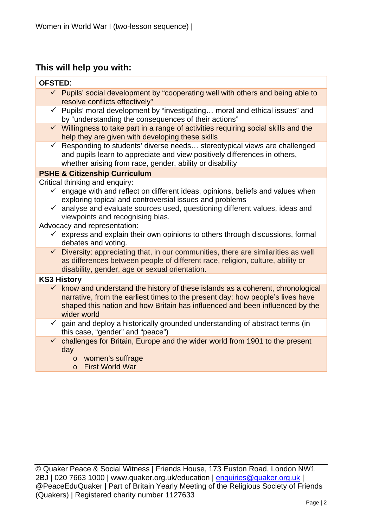## **This will help you with:**

| <b>OFSTED:</b> |                                                                                                                                                                                                                                                                                                                                                                                                                                                                            |
|----------------|----------------------------------------------------------------------------------------------------------------------------------------------------------------------------------------------------------------------------------------------------------------------------------------------------------------------------------------------------------------------------------------------------------------------------------------------------------------------------|
|                | $\checkmark$ Pupils' social development by "cooperating well with others and being able to<br>resolve conflicts effectively"                                                                                                                                                                                                                                                                                                                                               |
|                | ← Pupils' moral development by "investigating moral and ethical issues" and<br>by "understanding the consequences of their actions"                                                                                                                                                                                                                                                                                                                                        |
|                | $\checkmark$ Willingness to take part in a range of activities requiring social skills and the<br>help they are given with developing these skills                                                                                                                                                                                                                                                                                                                         |
| $\checkmark$   | Responding to students' diverse needs stereotypical views are challenged<br>and pupils learn to appreciate and view positively differences in others,<br>whether arising from race, gender, ability or disability                                                                                                                                                                                                                                                          |
|                | <b>PSHE &amp; Citizenship Curriculum</b>                                                                                                                                                                                                                                                                                                                                                                                                                                   |
|                | Critical thinking and enquiry:<br>$\checkmark$ engage with and reflect on different ideas, opinions, beliefs and values when<br>exploring topical and controversial issues and problems<br>$\checkmark$ analyse and evaluate sources used, questioning different values, ideas and<br>viewpoints and recognising bias.<br>Advocacy and representation:<br>$\checkmark$ express and explain their own opinions to others through discussions, formal<br>debates and voting. |
|                | $\checkmark$ Diversity: appreciating that, in our communities, there are similarities as well<br>as differences between people of different race, religion, culture, ability or<br>disability, gender, age or sexual orientation.                                                                                                                                                                                                                                          |
|                | <b>KS3 History</b>                                                                                                                                                                                                                                                                                                                                                                                                                                                         |
|                | $\checkmark$ know and understand the history of these islands as a coherent, chronological<br>narrative, from the earliest times to the present day: how people's lives have<br>shaped this nation and how Britain has influenced and been influenced by the<br>wider world                                                                                                                                                                                                |
| $\checkmark$   | gain and deploy a historically grounded understanding of abstract terms (in<br>this case, "gender" and "peace")                                                                                                                                                                                                                                                                                                                                                            |
| $\checkmark$   | challenges for Britain, Europe and the wider world from 1901 to the present<br>day<br>women's suffrage<br>$\circ$<br><b>First World War</b><br>$\circ$                                                                                                                                                                                                                                                                                                                     |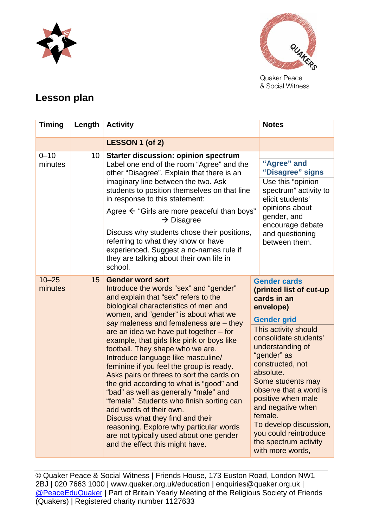



Quaker Peace & Social Witness

# **Lesson plan**

| <b>Timing</b>        | Length          | <b>Activity</b>                                                                                                                                                                                                                                                                                                                                                                                                                                                                                                                                                                                                                                                                                                                                                                                                           | <b>Notes</b>                                                                                                                                                                                                                                                                                                                                                                                                               |
|----------------------|-----------------|---------------------------------------------------------------------------------------------------------------------------------------------------------------------------------------------------------------------------------------------------------------------------------------------------------------------------------------------------------------------------------------------------------------------------------------------------------------------------------------------------------------------------------------------------------------------------------------------------------------------------------------------------------------------------------------------------------------------------------------------------------------------------------------------------------------------------|----------------------------------------------------------------------------------------------------------------------------------------------------------------------------------------------------------------------------------------------------------------------------------------------------------------------------------------------------------------------------------------------------------------------------|
|                      |                 | LESSON 1 (of 2)                                                                                                                                                                                                                                                                                                                                                                                                                                                                                                                                                                                                                                                                                                                                                                                                           |                                                                                                                                                                                                                                                                                                                                                                                                                            |
| $0 - 10$<br>minutes  | 10 <sup>1</sup> | Starter discussion: opinion spectrum<br>Label one end of the room "Agree" and the<br>other "Disagree". Explain that there is an<br>imaginary line between the two. Ask<br>students to position themselves on that line<br>in response to this statement:<br>Agree $\leftarrow$ "Girls are more peaceful than boys"<br>$\rightarrow$ Disagree<br>Discuss why students chose their positions,<br>referring to what they know or have<br>experienced. Suggest a no-names rule if<br>they are talking about their own life in<br>school.                                                                                                                                                                                                                                                                                      | "Agree" and<br>"Disagree" signs<br>Use this "opinion<br>spectrum" activity to<br>elicit students'<br>opinions about<br>gender, and<br>encourage debate<br>and questioning<br>between them.                                                                                                                                                                                                                                 |
| $10 - 25$<br>minutes | 15              | <b>Gender word sort</b><br>Introduce the words "sex" and "gender"<br>and explain that "sex" refers to the<br>biological characteristics of men and<br>women, and "gender" is about what we<br>say maleness and femaleness are - they<br>are an idea we have put together – for<br>example, that girls like pink or boys like<br>football. They shape who we are.<br>Introduce language like masculine/<br>feminine if you feel the group is ready.<br>Asks pairs or threes to sort the cards on<br>the grid according to what is "good" and<br>"bad" as well as generally "male" and<br>"female". Students who finish sorting can<br>add words of their own.<br>Discuss what they find and their<br>reasoning. Explore why particular words<br>are not typically used about one gender<br>and the effect this might have. | <b>Gender cards</b><br>(printed list of cut-up<br>cards in an<br>envelope)<br><b>Gender grid</b><br>This activity should<br>consolidate students'<br>understanding of<br>"gender" as<br>constructed, not<br>absolute.<br>Some students may<br>observe that a word is<br>positive when male<br>and negative when<br>female.<br>To develop discussion,<br>you could reintroduce<br>the spectrum activity<br>with more words, |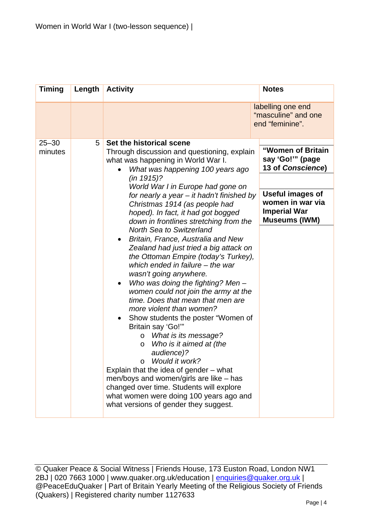| <b>Timing</b>        | Length                                                                                                                                                                                                                                                                                                                                                                                                                                                                                                                             | <b>Activity</b>                                                                                                                                                                                                   | <b>Notes</b>                                                                        |
|----------------------|------------------------------------------------------------------------------------------------------------------------------------------------------------------------------------------------------------------------------------------------------------------------------------------------------------------------------------------------------------------------------------------------------------------------------------------------------------------------------------------------------------------------------------|-------------------------------------------------------------------------------------------------------------------------------------------------------------------------------------------------------------------|-------------------------------------------------------------------------------------|
|                      |                                                                                                                                                                                                                                                                                                                                                                                                                                                                                                                                    |                                                                                                                                                                                                                   | labelling one end<br>"masculine" and one<br>end "feminine".                         |
| $25 - 30$<br>minutes | Set the historical scene<br>5<br>Through discussion and questioning, explain<br>what was happening in World War I.<br>What was happening 100 years ago<br>(in 1915)?<br>World War I in Europe had gone on                                                                                                                                                                                                                                                                                                                          |                                                                                                                                                                                                                   | "Women of Britain<br>say 'Go!'" (page<br>13 of Conscience)                          |
|                      |                                                                                                                                                                                                                                                                                                                                                                                                                                                                                                                                    | for nearly a year $-$ it hadn't finished by<br>Christmas 1914 (as people had<br>hoped). In fact, it had got bogged<br>down in frontlines stretching from the                                                      | Useful images of<br>women in war via<br><b>Imperial War</b><br><b>Museums (IWM)</b> |
|                      | <b>North Sea to Switzerland</b><br>Britain, France, Australia and New<br>Zealand had just tried a big attack on<br>the Ottoman Empire (today's Turkey),<br>which ended in failure – the war<br>wasn't going anywhere.<br>Who was doing the fighting? Men $-$<br>women could not join the army at the<br>time. Does that mean that men are<br>more violent than women?<br>Show students the poster "Women of<br>Britain say 'Go!"<br>What is its message?<br>O<br>Who is it aimed at (the<br>O<br>audience)?<br>Would it work?<br>O |                                                                                                                                                                                                                   |                                                                                     |
|                      |                                                                                                                                                                                                                                                                                                                                                                                                                                                                                                                                    |                                                                                                                                                                                                                   |                                                                                     |
|                      |                                                                                                                                                                                                                                                                                                                                                                                                                                                                                                                                    | Explain that the idea of gender – what<br>men/boys and women/girls are like - has<br>changed over time. Students will explore<br>what women were doing 100 years ago and<br>what versions of gender they suggest. |                                                                                     |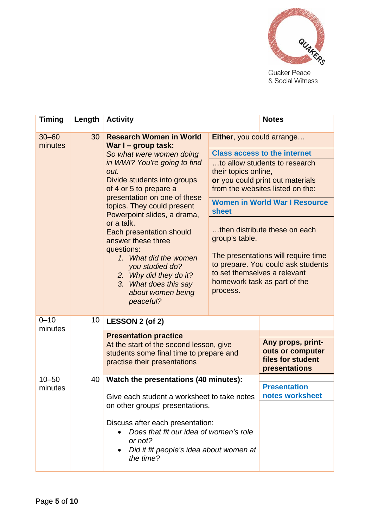

& Social Witness

| <b>Timing</b>               | Length                                                                                                                                                                                                                                     | <b>Activity</b>                                                                                                                                                                                          |                                                                                                                                                                                | <b>Notes</b>                                                                |
|-----------------------------|--------------------------------------------------------------------------------------------------------------------------------------------------------------------------------------------------------------------------------------------|----------------------------------------------------------------------------------------------------------------------------------------------------------------------------------------------------------|--------------------------------------------------------------------------------------------------------------------------------------------------------------------------------|-----------------------------------------------------------------------------|
| $30 - 60$<br>minutes        | 30                                                                                                                                                                                                                                         | <b>Research Women in World</b><br>War I - group task:                                                                                                                                                    | Either, you could arrange                                                                                                                                                      |                                                                             |
|                             |                                                                                                                                                                                                                                            | So what were women doing<br>in WWI? You're going to find<br>out.<br>Divide students into groups<br>of 4 or 5 to prepare a<br>presentation on one of these<br>topics. They could present                  | <b>Class access to the internet</b>                                                                                                                                            |                                                                             |
|                             |                                                                                                                                                                                                                                            |                                                                                                                                                                                                          | to allow students to research<br>their topics online,<br>or you could print out materials<br>from the websites listed on the:<br><b>Women in World War I Resource</b><br>sheet |                                                                             |
|                             | Powerpoint slides, a drama,<br>or a talk.<br>Each presentation should<br>answer these three<br>questions:<br>1. What did the women<br>you studied do?<br>2. Why did they do it?<br>3. What does this say<br>about women being<br>peaceful? | then distribute these on each<br>group's table.<br>The presentations will require time<br>to prepare. You could ask students<br>to set themselves a relevant<br>homework task as part of the<br>process. |                                                                                                                                                                                |                                                                             |
| $0 - 10$<br>10 <sup>°</sup> |                                                                                                                                                                                                                                            | LESSON 2 (of 2)                                                                                                                                                                                          |                                                                                                                                                                                |                                                                             |
| minutes                     |                                                                                                                                                                                                                                            | <b>Presentation practice</b><br>At the start of the second lesson, give<br>students some final time to prepare and<br>practise their presentations                                                       |                                                                                                                                                                                | Any props, print-<br>outs or computer<br>files for student<br>presentations |
| $10 - 50$<br>minutes        | Watch the presentations (40 minutes):<br>40<br>Give each student a worksheet to take notes<br>on other groups' presentations.                                                                                                              |                                                                                                                                                                                                          | <b>Presentation</b><br>notes worksheet                                                                                                                                         |                                                                             |
|                             |                                                                                                                                                                                                                                            | Discuss after each presentation:<br>Does that fit our idea of women's role<br>or not?<br>Did it fit people's idea about women at<br>the time?                                                            |                                                                                                                                                                                |                                                                             |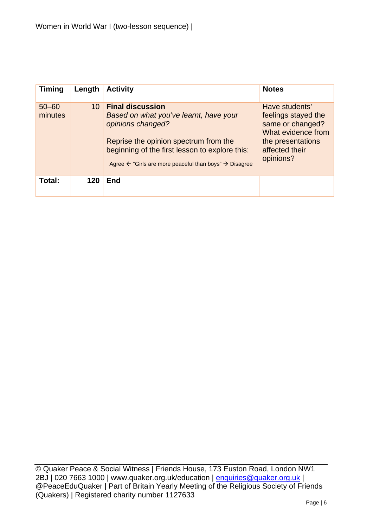| <b>Timing</b>        | Length | <b>Activity</b>                                                                                                                                                                                                                                                    | <b>Notes</b>                                                                                                                        |
|----------------------|--------|--------------------------------------------------------------------------------------------------------------------------------------------------------------------------------------------------------------------------------------------------------------------|-------------------------------------------------------------------------------------------------------------------------------------|
| $50 - 60$<br>minutes | 10     | <b>Final discussion</b><br>Based on what you've learnt, have your<br>opinions changed?<br>Reprise the opinion spectrum from the<br>beginning of the first lesson to explore this:<br>Agree $\leftarrow$ "Girls are more peaceful than boys" $\rightarrow$ Disagree | Have students'<br>feelings stayed the<br>same or changed?<br>What evidence from<br>the presentations<br>affected their<br>opinions? |
| Total:               | 120    | End                                                                                                                                                                                                                                                                |                                                                                                                                     |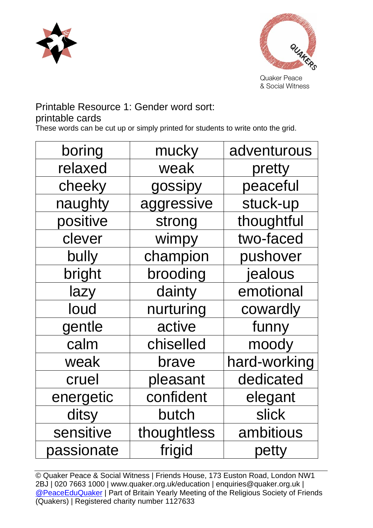



& Social Witness

## Printable Resource 1: Gender word sort:

## printable cards

These words can be cut up or simply printed for students to write onto the grid.

| boring     | mucky       | adventurous  |
|------------|-------------|--------------|
| relaxed    | weak        | pretty       |
| cheeky     | gossipy     | peaceful     |
| naughty    | aggressive  | stuck-up     |
| positive   | strong      | thoughtful   |
| clever     | wimpy       | two-faced    |
| bully      | champion    | pushover     |
| bright     | brooding    | jealous      |
| lazy       | dainty      | emotional    |
| loud       | nurturing   | cowardly     |
| gentle     | active      | funny        |
| calm       | chiselled   | moody        |
| weak       | brave       | hard-working |
| cruel      | pleasant    | dedicated    |
| energetic  | confident   | elegant      |
| ditsy      | butch       | slick        |
| sensitive  | thoughtless | ambitious    |
| passionate | frigid      | petty        |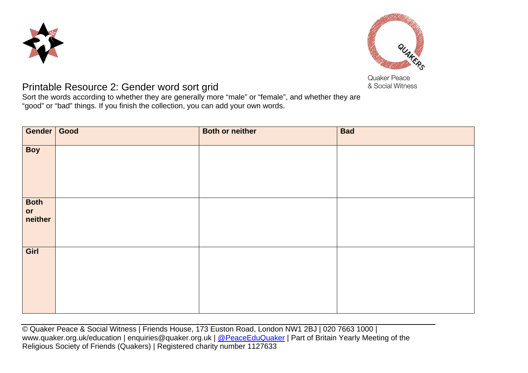



Quaker Peace

## **Printable Resource 2: Gender word sort grid Community Community A Social Witness**

Sort the words according to whether they are generally more "male" or "female", and whether they are "good" or "bad" things. If you finish the collection, you can add your own words.

| Gender Good           | <b>Both or neither</b> | <b>Bad</b> |
|-----------------------|------------------------|------------|
| <b>Boy</b>            |                        |            |
| Both<br>or<br>neither |                        |            |
| Girl                  |                        |            |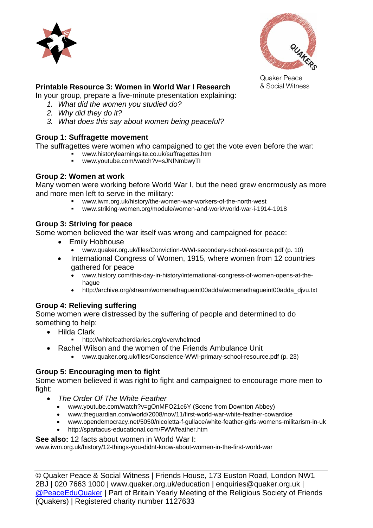



Quaker Peace

#### **Printable Resource 3: Women in World War I Research** & Social Witness

In your group, prepare a five-minute presentation explaining:

- *1. What did the women you studied do?*
- *2. Why did they do it?*
- *3. What does this say about women being peaceful?*

#### **Group 1: Suffragette movement**

The suffragettes were women who campaigned to get the vote even before the war:

- www.historylearningsite.co.uk/suffragettes.htm
- www.youtube.com/watch?v=sJNfNmbwyTI

#### **Group 2: Women at work**

Many women were working before World War I, but the need grew enormously as more and more men left to serve in the military:

- www.iwm.org.uk/history/the-women-war-workers-of-the-north-west
- www.striking-women.org/module/women-and-work/world-war-i-1914-1918

#### **Group 3: Striving for peace**

Some women believed the war itself was wrong and campaigned for peace:

- Emily Hobhouse
	- www.quaker.org.uk/files/Conviction-WWI-secondary-school-resource.pdf (p. 10)
- International Congress of Women, 1915, where women from 12 countries gathered for peace
	- www.history.com/this-day-in-history/international-congress-of-women-opens-at-thehague
	- http://archive.org/stream/womenathagueint00adda/womenathagueint00adda\_djvu.txt

#### **Group 4: Relieving suffering**

Some women were distressed by the suffering of people and determined to do something to help:

- Hilda Clark
	- http://whitefeatherdiaries.org/overwhelmed
- Rachel Wilson and the women of the Friends Ambulance Unit
	- www.quaker.org.uk/files/Conscience-WWI-primary-school-resource.pdf (p. 23)

#### **Group 5: Encouraging men to fight**

Some women believed it was right to fight and campaigned to encourage more men to fight:

- *The Order Of The White Feather* 
	- www.youtube.com/watch?v=gOnMFO21c6Y (Scene from Downton Abbey)
	- www.theguardian.com/world/2008/nov/11/first-world-war-white-feather-cowardice
	- www.opendemocracy.net/5050/nicoletta-f-gullace/white-feather-girls-womens-militarism-in-uk
	- http://spartacus-educational.com/FWWfeather.htm

#### **See also:** 12 facts about women in World War I:

www.iwm.org.uk/history/12-things-you-didnt-know-about-women-in-the-first-world-war